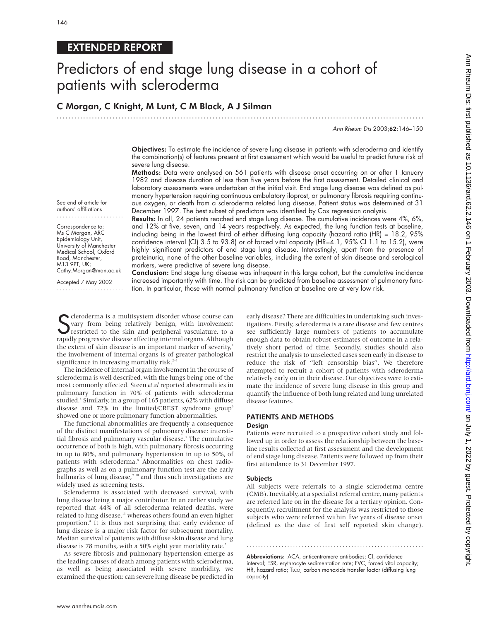# EXTENDED REPORT

# Predictors of end stage lung disease in a cohort of patients with scleroderma

.............................................................................................................................

## C Morgan, C Knight, M Lunt, C M Black, A J Silman

Ann Rheum Dis 2003;62:146–150

Objectives: To estimate the incidence of severe lung disease in patients with scleroderma and identify the combination(s) of features present at first assessment which would be useful to predict future risk of severe lung disease.

Methods: Data were analysed on 561 patients with disease onset occurring on or after 1 January 1982 and disease duration of less than five years before the first assessment. Detailed clinical and laboratory assessments were undertaken at the initial visit. End stage lung disease was defined as pulmonary hypertension requiring continuous ambulatory iloprost, or pulmonary fibrosis requiring continuous oxygen, or death from a scleroderma related lung disease. Patient status was determined at 31 December 1997. The best subset of predictors was identified by Cox regression analysis.

Results: In all, 24 patients reached end stage lung disease. The cumulative incidences were 4%, 6%, and 12% at five, seven, and 14 years respectively. As expected, the lung function tests at baseline, including being in the lowest third of either diffusing lung capacity (hazard ratio (HR) = 18.2, 95% confidence interval (CI) 3.5 to 93.8) or of forced vital capacity (HR=4.1, 95% CI 1.1 to 15.2), were highly significant predictors of end stage lung disease. Interestingly, apart from the presence of proteinuria, none of the other baseline variables, including the extent of skin disease and serological markers, were predictive of severe lung disease.

Conclusion: End stage lung disease was infrequent in this large cohort, but the cumulative incidence increased importantly with time. The risk can be predicted from baseline assessment of pulmonary function. In particular, those with normal pulmonary function at baseline are at very low risk.

See end of article for authors' affiliations .......................

Correspondence to: Ms C Morgan, ARC Epidemiology Unit, University of Manchester Medical School, Oxford Road, Manchester, M13 9PT, UK; Cathy.Morgan@man.ac.uk

Accepted 7 May 2002

.......................

S cleroderma is a multisystem disorder whose course can<br>S vary from being relatively benign, with involvement<br>restricted to the skin and peripheral vasculature, to a<br>ranidly progressive disease affecting internal organs. A vary from being relatively benign, with involvement restricted to the skin and peripheral vasculature, to a rapidly progressive disease affecting internal organs. Although the extent of skin disease is an important marker of severity, $\frac{1}{2}$ the involvement of internal organs is of greater pathological significance in increasing mortality risk.<sup>2–1</sup>

The incidence of internal organ involvement in the course of scleroderma is well described, with the lungs being one of the most commonly affected. Steen *et al* reported abnormalities in pulmonary function in 70% of patients with scleroderma studied.<sup>5</sup> Similarly, in a group of 165 patients, 62% with diffuse disease and 72% in the limited/CREST syndrome group<sup>6</sup> showed one or more pulmonary function abnormalities.

The functional abnormalities are frequently a consequence of the distinct manifestations of pulmonary disease: interstitial fibrosis and pulmonary vascular disease.<sup>7</sup> The cumulative occurrence of both is high, with pulmonary fibrosis occurring in up to 80%, and pulmonary hypertension in up to 50%, of patients with scleroderma.<sup>8</sup> Abnormalities on chest radiographs as well as on a pulmonary function test are the early hallmarks of lung disease,<sup>9 10</sup> and thus such investigations are widely used as screening tests.

Scleroderma is associated with decreased survival, with lung disease being a major contributor. In an earlier study we reported that 44% of all scleroderma related deaths, were related to lung disease,<sup>11</sup> whereas others found an even higher proportion.4 It is thus not surprising that early evidence of lung disease is a major risk factor for subsequent mortality. Median survival of patients with diffuse skin disease and lung disease is 78 months, with a 50% eight year mortality rate.<sup>2</sup>

As severe fibrosis and pulmonary hypertension emerge as the leading causes of death among patients with scleroderma, as well as being associated with severe morbidity, we examined the question: can severe lung disease be predicted in

early disease? There are difficulties in undertaking such investigations. Firstly, scleroderma is a rare disease and few centres see sufficiently large numbers of patients to accumulate enough data to obtain robust estimates of outcome in a relatively short period of time. Secondly, studies should also restrict the analysis to unselected cases seen early in disease to reduce the risk of "left censorship bias". We therefore attempted to recruit a cohort of patients with scleroderma relatively early on in their disease. Our objectives were to estimate the incidence of severe lung disease in this group and quantify the influence of both lung related and lung unrelated disease features.

## PATIENTS AND METHODS

#### Design

Patients were recruited to a prospective cohort study and followed up in order to assess the relationship between the baseline results collected at first assessment and the development of end stage lung disease. Patients were followed up from their first attendance to 31 December 1997.

#### Subjects

All subjects were referrals to a single scleroderma centre (CMB). Inevitably, at a specialist referral centre, many patients are referred late on in the disease for a tertiary opinion. Consequently, recruitment for the analysis was restricted to those subjects who were referred within five years of disease onset (defined as the date of first self reported skin change).

Abbreviations: ACA, anticentromere antibodies; CI, confidence interval; ESR, erythrocyte sedimentation rate; FVC, forced vital capacity; HR, hazard ratio; TLCO, carbon monoxide transfer factor (diffusing lung capacity)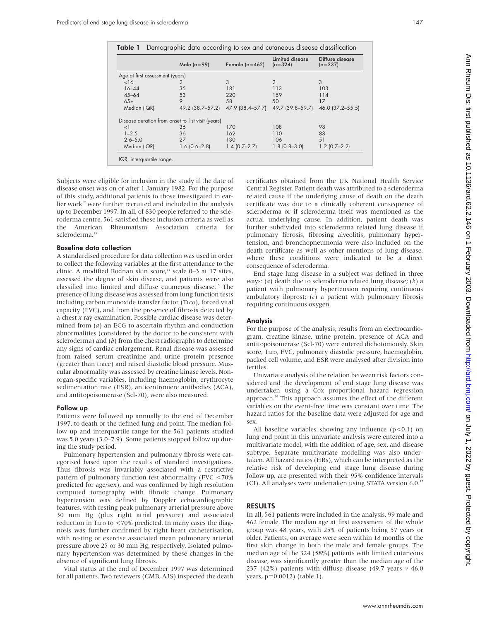|                                 | Male $(n=99)$                                    | Female $(n=462)$ | Limited disease<br>$(n=324)$ | Diffuse disease<br>$(n=237)$ |  |
|---------------------------------|--------------------------------------------------|------------------|------------------------------|------------------------------|--|
| Age at first assessment (years) |                                                  |                  |                              |                              |  |
| 16                              | 2                                                | 3                | $\overline{2}$               | 3                            |  |
| $16 - 44$                       | 35                                               | 181              | 113                          | 103                          |  |
| $45 - 64$                       | 53                                               | 220              | 159                          | 114                          |  |
| $65+$                           | 9                                                | 58               | 50                           | 17                           |  |
| Median (IQR)                    | 49.2 (38.7–57.2)                                 | 47.9 (38.4–57.7) | 49.7 (39.8–59.7)             | 46.0 (37.2-55.5)             |  |
|                                 | Disease duration from onset to 1st visit (years) |                  |                              |                              |  |
| $\leq$                          | 36                                               | 170              | 108                          | 98                           |  |
| $1 - 2.5$                       | 36                                               | 162              | 110                          | 88                           |  |
| $2.6 - 5.0$                     | 27                                               | 130              | 106                          | 51                           |  |
| Median (IQR)                    | $1.6$ (0.6-2.8)                                  | $1.4$ (0.7–2.7)  | $1.8$ (0.8-3.0)              | $1.2$ (0.7-2.2)              |  |

Subjects were eligible for inclusion in the study if the date of disease onset was on or after 1 January 1982. For the purpose of this study, additional patients to those investigated in earlier work<sup>12</sup> were further recruited and included in the analysis up to December 1997. In all, of 830 people referred to the scleroderma centre, 561 satisfied these inclusion criteria as well as the American Rheumatism Association criteria for scleroderma.13

#### Baseline data collection

A standardised procedure for data collection was used in order to collect the following variables at the first attendance to the clinic. A modified Rodnan skin score,<sup>14</sup> scale 0-3 at 17 sites, assessed the degree of skin disease, and patients were also classified into limited and diffuse cutaneous disease.15 The presence of lung disease was assessed from lung function tests including carbon monoxide transfer factor (TLCO), forced vital capacity (FVC), and from the presence of fibrosis detected by a chest *x* ray examination. Possible cardiac disease was determined from (*a*) an ECG to ascertain rhythm and conduction abnormalities (considered by the doctor to be consistent with scleroderma) and (*b*) from the chest radiographs to determine any signs of cardiac enlargement. Renal disease was assessed from raised serum creatinine and urine protein presence (greater than trace) and raised diastolic blood pressure. Muscular abnormality was assessed by creatine kinase levels. Nonorgan-specific variables, including haemoglobin, erythrocyte sedimentation rate (ESR), anticentromere antibodies (ACA), and antitopoisomerase (Scl-70), were also measured.

#### Follow up

Patients were followed up annually to the end of December 1997, to death or the defined lung end point. The median follow up and interquartile range for the 561 patients studied was 5.0 years (3.0–7.9). Some patients stopped follow up during the study period.

Pulmonary hypertension and pulmonary fibrosis were categorised based upon the results of standard investigations. Thus fibrosis was invariably associated with a restrictive pattern of pulmonary function test abnormality (FVC <70% predicted for age/sex), and was confirmed by high resolution computed tomography with fibrotic change. Pulmonary hypertension was defined by Doppler echocardiographic features, with resting peak pulmonary arterial pressure above 30 mm Hg (plus right atrial pressure) and associated reduction in TLCO to <70% predicted. In many cases the diagnosis was further confirmed by right heart catheterisation, with resting or exercise associated mean pulmonary arterial pressure above 25 or 30 mm Hg, respectively. Isolated pulmonary hypertension was determined by these changes in the absence of significant lung fibrosis.

Vital status at the end of December 1997 was determined for all patients. Two reviewers (CMB, AJS) inspected the death certificates obtained from the UK National Health Service Central Register. Patient death was attributed to a scleroderma related cause if the underlying cause of death on the death certificate was due to a clinically coherent consequence of scleroderma or if scleroderma itself was mentioned as the actual underlying cause. In addition, patient death was further subdivided into scleroderma related lung disease if pulmonary fibrosis, fibrosing alveolitis, pulmonary hypertension, and bronchopneumonia were also included on the death certificate as well as other mentions of lung disease, where these conditions were indicated to be a direct consequence of scleroderma.

End stage lung disease in a subject was defined in three ways: (*a*) death due to scleroderma related lung disease; (*b*) a patient with pulmonary hypertension requiring continuous ambulatory iloprost; (*c*) a patient with pulmonary fibrosis requiring continuous oxygen.

#### Analysis

For the purpose of the analysis, results from an electrocardiogram, creatine kinase, urine protein, presence of ACA and antitopoisomerase (Scl-70) were entered dichotomously. Skin score, TLCO, FVC, pulmonary diastolic pressure, haemoglobin, packed cell volume, and ESR were analysed after division into tertiles.

Univariate analysis of the relation between risk factors considered and the development of end stage lung disease was undertaken using a Cox proportional hazard regression approach.<sup>16</sup> This approach assumes the effect of the different variables on the event-free time was constant over time. The hazard ratios for the baseline data were adjusted for age and sex.

All baseline variables showing any influence  $(p<0.1)$  on lung end point in this univariate analysis were entered into a multivariate model, with the addition of age, sex, and disease subtype. Separate multivariate modelling was also undertaken. All hazard ratios (HRs), which can be interpreted as the relative risk of developing end stage lung disease during follow up, are presented with their 95% confidence intervals (CI). All analyses were undertaken using STATA version 6.0.<sup>17</sup>

#### RESULTS

In all, 561 patients were included in the analysis, 99 male and 462 female. The median age at first assessment of the whole group was 48 years, with 25% of patients being 57 years or older. Patients, on average were seen within 18 months of the first skin change in both the male and female groups. The median age of the 324 (58%) patients with limited cutaneous disease, was significantly greater than the median age of the 237 (42%) patients with diffuse disease (49.7 years *v* 46.0 years, p=0.0012) (table 1).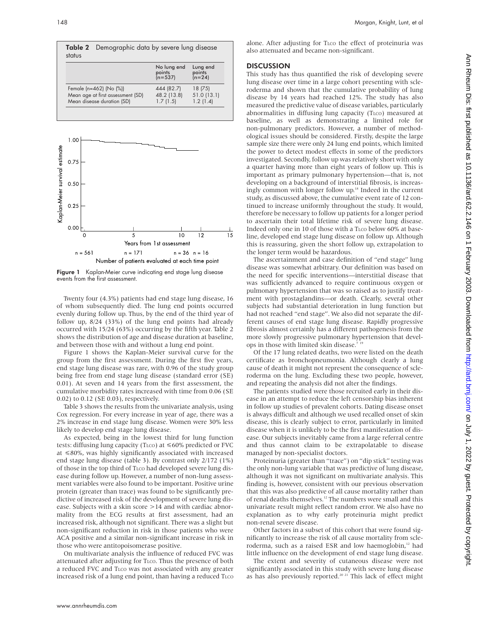| status | Table 2 Demographic data by severe lung disease |  |  |  |  |
|--------|-------------------------------------------------|--|--|--|--|
|        | No lung end<br>Lung end<br>points<br>points     |  |  |  |  |

|                                                                                            | $(n=537)$                             | $(n=24)$                             |
|--------------------------------------------------------------------------------------------|---------------------------------------|--------------------------------------|
| Female (n=462) (No (%))<br>Mean age at first assessment (SD)<br>Mean disease duration (SD) | 444 (82.7)<br>48.2 (13.8)<br>1.7(1.5) | 18 (75)<br>$51.0$ (13.1)<br>1.2(1.4) |
|                                                                                            |                                       |                                      |



Figure 1 Kaplan-Meier curve indicating end stage lung disease events from the first assessment.

Twenty four (4.3%) patients had end stage lung disease, 16 of whom subsequently died. The lung end points occurred evenly during follow up. Thus, by the end of the third year of follow up, 8/24 (33%) of the lung end points had already occurred with 15/24 (63%) occurring by the fifth year. Table 2 shows the distribution of age and disease duration at baseline, and between those with and without a lung end point.

Figure 1 shows the Kaplan-Meier survival curve for the group from the first assessment. During the first five years, end stage lung disease was rare, with 0.96 of the study group being free from end stage lung disease (standard error (SE) 0.01). At seven and 14 years from the first assessment, the cumulative morbidity rates increased with time from 0.06 (SE 0.02) to 0.12 (SE 0.03), respectively.

Table 3 shows the results from the univariate analysis, using Cox regression. For every increase in year of age, there was a 2% increase in end stage lung disease. Women were 30% less likely to develop end stage lung disease.

As expected, being in the lowest third for lung function tests: diffusing lung capacity (T<sub>LCO</sub>) at  $\leq 60\%$  predicted or FVC at  $\leq 80\%$ , was highly significantly associated with increased end stage lung disease (table 3). By contrast only 2/172 (1%) of those in the top third of TLCO had developed severe lung disease during follow up. However, a number of non-lung assessment variables were also found to be important. Positive urine protein (greater than trace) was found to be significantly predictive of increased risk of the development of severe lung disease. Subjects with a skin score >14 and with cardiac abnormality from the ECG results at first assessment, had an increased risk, although not significant. There was a slight but non-significant reduction in risk in those patients who were ACA positive and a similar non-significant increase in risk in those who were antitopoisomerase positive.

On multivariate analysis the influence of reduced FVC was attenuated after adjusting for TLCO. Thus the presence of both a reduced FVC and TLCO was not associated with any greater increased risk of a lung end point, than having a reduced TLCO

alone. After adjusting for TLCO the effect of proteinuria was also attenuated and became non-significant.

#### **DISCUSSION**

This study has thus quantified the risk of developing severe lung disease over time in a large cohort presenting with scleroderma and shown that the cumulative probability of lung disease by 14 years had reached 12%. The study has also measured the predictive value of disease variables, particularly abnormalities in diffusing lung capacity (TLCO) measured at baseline, as well as demonstrating a limited role for non-pulmonary predictors. However, a number of methodological issues should be considered. Firstly, despite the large sample size there were only 24 lung end points, which limited the power to detect modest effects in some of the predictors investigated. Secondly, follow up was relatively short with only a quarter having more than eight years of follow up. This is important as primary pulmonary hypertension—that is, not developing on a background of interstitial fibrosis, is increasingly common with longer follow up.<sup>18</sup> Indeed in the current study, as discussed above, the cumulative event rate of 12 continued to increase uniformly throughout the study. It would, therefore be necessary to follow up patients for a longer period to ascertain their total lifetime risk of severe lung disease. Indeed only one in 10 of those with a TLCO below 60% at baseline, developed end stage lung disease on follow up. Although this is reassuring, given the short follow up, extrapolation to the longer term would be hazardous.

The ascertainment and case definition of "end stage" lung disease was somewhat arbitrary. Our definition was based on the need for specific interventions—interstitial disease that was sufficiently advanced to require continuous oxygen or pulmonary hypertension that was so raised as to justify treatment with prostaglandins—or death. Clearly, several other subjects had substantial deterioration in lung function but had not reached "end stage". We also did not separate the different causes of end stage lung disease. Rapidly progressive fibrosis almost certainly has a different pathogenesis from the more slowly progressive pulmonary hypertension that develops in those with limited skin disease.<sup>7</sup>

Of the 17 lung related deaths, two were listed on the death certificate as bronchopneumonia. Although clearly a lung cause of death it might not represent the consequence of scleroderma on the lung. Excluding these two people, however, and repeating the analysis did not alter the findings.

The patients studied were those recruited early in their disease in an attempt to reduce the left censorship bias inherent in follow up studies of prevalent cohorts. Dating disease onset is always difficult and although we used recalled onset of skin disease, this is clearly subject to error, particularly in limited disease when it is unlikely to be the first manifestation of disease. Our subjects inevitably came from a large referral centre and thus cannot claim to be extrapolatable to disease managed by non-specialist doctors.

Proteinuria (greater than "trace") on "dip stick" testing was the only non-lung variable that was predictive of lung disease, although it was not significant on multivariate analysis. This finding is, however, consistent with our previous observation that this was also predictive of all cause mortality rather than of renal deaths themselves.<sup>12</sup> The numbers were small and this univariate result might reflect random error. We also have no explanation as to why early proteinuria might predict non-renal severe disease.

Other factors in a subset of this cohort that were found significantly to increase the risk of all cause mortality from scleroderma, such as a raised ESR and low haemoglobin, $12$  had little influence on the development of end stage lung disease.

The extent and severity of cutaneous disease were not significantly associated in this study with severe lung disease as has also previously reported.<sup>20 21</sup> This lack of effect might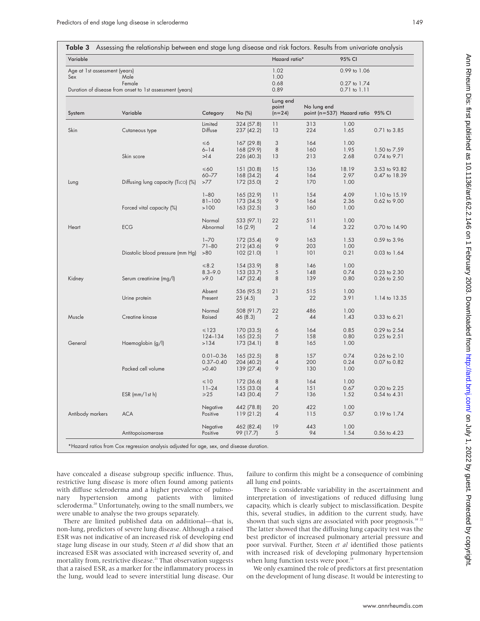Table 3 Assessing the relationship between end stage lung disease and risk factors. Results from univariate analysis

| Variable                      |                                                          |                |            | Hazard ratio*  |             | 95% CI                            |                  |
|-------------------------------|----------------------------------------------------------|----------------|------------|----------------|-------------|-----------------------------------|------------------|
| Age at 1st assessment (years) |                                                          |                |            | 1.02           |             | 0.99 to 1.06                      |                  |
| Sex                           | Male                                                     |                |            | 1.00           |             |                                   |                  |
|                               | Female                                                   |                |            | 0.68           |             | 0.27 to 1.74                      |                  |
|                               | Duration of disease from onset to 1st assessment (years) |                |            | 0.89           |             |                                   |                  |
|                               |                                                          |                |            | Lung end       |             |                                   |                  |
|                               |                                                          |                |            | point          | No lung end |                                   |                  |
| System                        | Variable                                                 | Category       | No (%)     | $(n=24)$       |             | point (n=537) Hazard ratio 95% CI |                  |
|                               |                                                          | Limited        | 324(57.8)  | 11             | 313         | 1.00                              |                  |
| Skin                          | Cutaneous type                                           | Diffuse        | 237 (42.2) | 13             | 224         | 1.65                              | 0.71 to 3.85     |
|                               |                                                          | $\leq 6$       | 167(29.8)  | 3              | 164         | 1.00                              |                  |
|                               |                                                          | $6 - 14$       | 168 (29.9) | 8              | 160         | 1.95                              | 1.50 to 7.59     |
|                               | Skin score                                               | >14            | 226 (40.3) | 13             | 213         | 2.68                              | 0.74 to 9.71     |
|                               |                                                          |                |            |                |             |                                   |                  |
|                               |                                                          | ≤60            | 151 (30.8) | 15             | 136         | 18.19                             | 3.53 to 93.82    |
|                               |                                                          | 60-77          | 168 (34.2) | $\overline{4}$ | 164         | 2.97                              | 0.47 to 18.39    |
| Lung                          | Diffusing lung capacity (TLCO) (%)                       | >77            | 172 (35.0) | $\overline{2}$ | 170         | 1.00                              |                  |
|                               |                                                          | $1 - 80$       | 165 (32.9) | 11             | 154         | 4.09                              | 1.10 to 15.19    |
|                               |                                                          | $81 - 100$     | 173 (34.5) | 9              | 164         | 2.36                              | 0.62 to 9.00     |
|                               | Forced vital capacity (%)                                | >100           | 163(32.5)  | 3              | 160         | 1.00                              |                  |
|                               |                                                          |                |            |                |             |                                   |                  |
|                               |                                                          | Normal         | 533 (97.1) | 22             | 511         | 1.00                              |                  |
| Heart                         | <b>ECG</b>                                               | Abnormal       | 16(2.9)    | $\overline{2}$ | 14          | 3.22                              | 0.70 to 14.90    |
|                               |                                                          | $1 - 70$       | 172 (35.4) | 9              | 163         | 1.53                              | 0.59 to 3.96     |
|                               |                                                          | $71 - 80$      | 212 (43.6) | 9              | 203         | 1.00                              |                  |
|                               | Diastolic blood pressure (mm Hg)                         | >80            | 102(21.0)  | $\mathbf{1}$   | 101         | 0.21                              | 0.03 to 1.64     |
|                               |                                                          | $\le 8.2$      | 154 (33.9) | 8              | 146         | 1.00                              |                  |
|                               |                                                          | $8.3 - 9.0$    | 153(33.7)  | 5              | 148         | 0.74                              | 0.23 to 2.30     |
| Kidney                        | Serum creatinine (mg/l)                                  | >9.0           | 147(32.4)  | 8              | 139         | 0.80                              | 0.26 to 2.50     |
|                               |                                                          |                |            |                | 515         | 1.00                              |                  |
|                               |                                                          | Absent         | 536 (95.5) | 21<br>3        | 22          | 3.91                              |                  |
|                               | Urine protein                                            | Present        | 25(4.5)    |                |             |                                   | 1.14 to 13.35    |
|                               |                                                          | Normal         | 508 (91.7) | 22             | 486         | 1.00                              |                  |
| Muscle                        | Creatine kinase                                          | Raised         | 46 (8.3)   | $\overline{2}$ | 44          | 1.43                              | 0.33 to 6.21     |
|                               |                                                          |                |            |                |             |                                   |                  |
|                               |                                                          | $\leq 123$     | 170 (33.5) | 6              | 164         | 0.85                              | 0.29 to 2.54     |
|                               |                                                          | $124 - 134$    | 165(32.5)  | $\overline{7}$ | 158         | 0.80                              | $0.25$ to $2.51$ |
| General                       | Haemoglobin (g/l)                                        | >134           | 173(34.1)  | 8              | 165         | 1.00                              |                  |
|                               |                                                          | $0.01 - 0.36$  | 165(32.5)  | 8              | 157         | 0.74                              | 0.26 to 2.10     |
|                               |                                                          | $0.37 - 0.40$  | 204 (40.2) | $\overline{4}$ | 200         | 0.24                              | 0.07 to 0.82     |
|                               | Packed cell volume                                       | >0.40          | 139 (27.4) | 9              | 130         | 1.00                              |                  |
|                               |                                                          | $\leq 10$      | 172 (36.6) | 8              | 164         | 1.00                              |                  |
|                               |                                                          | $11 - 24$      | 155 (33.0) | $\overline{4}$ | 151         | 0.67                              | 0.20 to 2.25     |
|                               | $ESR$ (mm/ $1st$ h)                                      | $\geqslant$ 25 | 143 (30.4) | 7              | 136         | 1.52                              | 0.54 to 4.31     |
|                               |                                                          |                |            |                |             |                                   |                  |
|                               |                                                          | Negative       | 442 (78.8) | 20             | 422         | 1.00                              |                  |
| Antibody markers              | <b>ACA</b>                                               | Positive       | 119(21.2)  | $\overline{4}$ | 115         | 0.57                              | 0.19 to 1.74     |
|                               |                                                          | Negative       | 462 (82.4) | 19             | 443         | 1.00                              |                  |
|                               | Antitopoisomerase                                        | Positive       | 99 (17.7)  | 5              | 94          | 1.54                              | 0.56 to 4.23     |

have concealed a disease subgroup specific influence. Thus, restrictive lung disease is more often found among patients with diffuse scleroderma and a higher prevalence of pulmonary hypertension among patients with limited scleroderma.<sup>20</sup> Unfortunately, owing to the small numbers, we were unable to analyse the two groups separately.

There are limited published data on additional—that is, non-lung, predictors of severe lung disease. Although a raised ESR was not indicative of an increased risk of developing end stage lung disease in our study, Steen *et al* did show that an increased ESR was associated with increased severity of, and mortality from, restrictive disease.<sup>21</sup> That observation suggests that a raised ESR, as a marker for the inflammatory process in the lung, would lead to severe interstitial lung disease. Our failure to confirm this might be a consequence of combining all lung end points.

There is considerable variability in the ascertainment and interpretation of investigations of reduced diffusing lung capacity, which is clearly subject to misclassification. Despite this, several studies, in addition to the current study, have shown that such signs are associated with poor prognosis.<sup>10 22</sup> The latter showed that the diffusing lung capacity test was the best predictor of increased pulmonary arterial pressure and poor survival. Further, Steen *et al* identified those patients with increased risk of developing pulmonary hypertension when lung function tests were poor.<sup>18</sup>

We only examined the role of predictors at first presentation on the development of lung disease. It would be interesting to